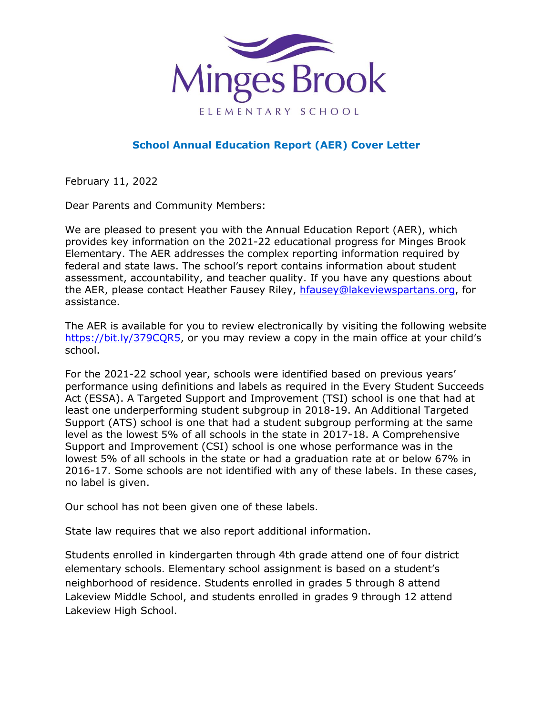

## **School Annual Education Report (AER) Cover Letter**

February 11, 2022

Dear Parents and Community Members:

We are pleased to present you with the Annual Education Report (AER), which provides key information on the 2021-22 educational progress for Minges Brook Elementary. The AER addresses the complex reporting information required by federal and state laws. The school's report contains information about student assessment, accountability, and teacher quality. If you have any questions about the AER, please contact Heather Fausey Riley, [hfausey@lakeviewspartans.org,](mailto:hfausey@lakeviewspartans.org) for assistance.

The AER is available for you to review electronically by visiting the following website [https://bit.ly/379CQR5,](https://bit.ly/379CQR5) or you may review a copy in the main office at your child's school.

For the 2021-22 school year, schools were identified based on previous years' performance using definitions and labels as required in the Every Student Succeeds Act (ESSA). A Targeted Support and Improvement (TSI) school is one that had at least one underperforming student subgroup in 2018-19. An Additional Targeted Support (ATS) school is one that had a student subgroup performing at the same level as the lowest 5% of all schools in the state in 2017-18. A Comprehensive Support and Improvement (CSI) school is one whose performance was in the lowest 5% of all schools in the state or had a graduation rate at or below 67% in 2016-17. Some schools are not identified with any of these labels. In these cases, no label is given.

Our school has not been given one of these labels.

State law requires that we also report additional information.

Students enrolled in kindergarten through 4th grade attend one of four district elementary schools. Elementary school assignment is based on a student's neighborhood of residence. Students enrolled in grades 5 through 8 attend Lakeview Middle School, and students enrolled in grades 9 through 12 attend Lakeview High School.